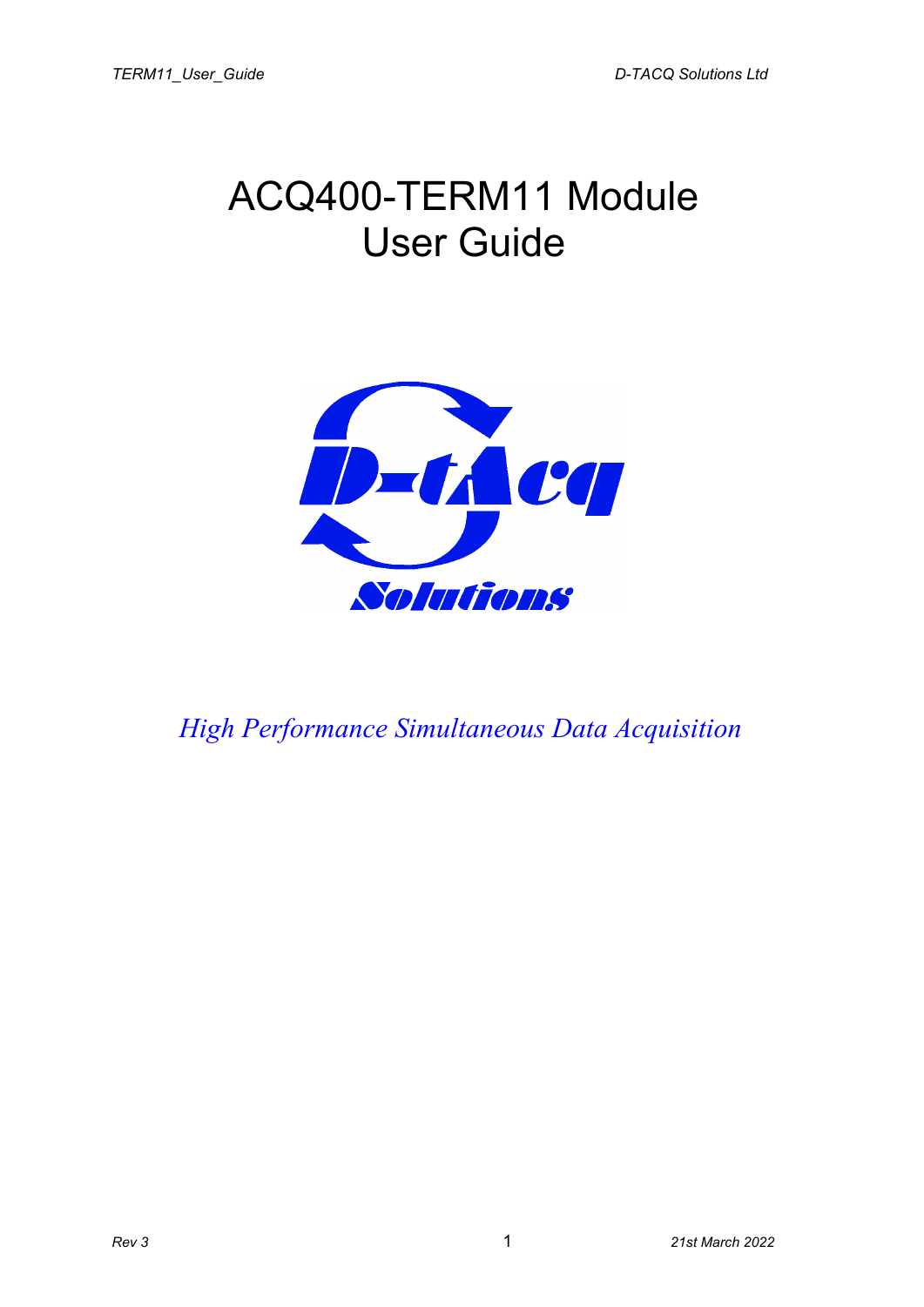## ACQ400-TERM11 Module User Guide



*High Performance Simultaneous Data Acquisition*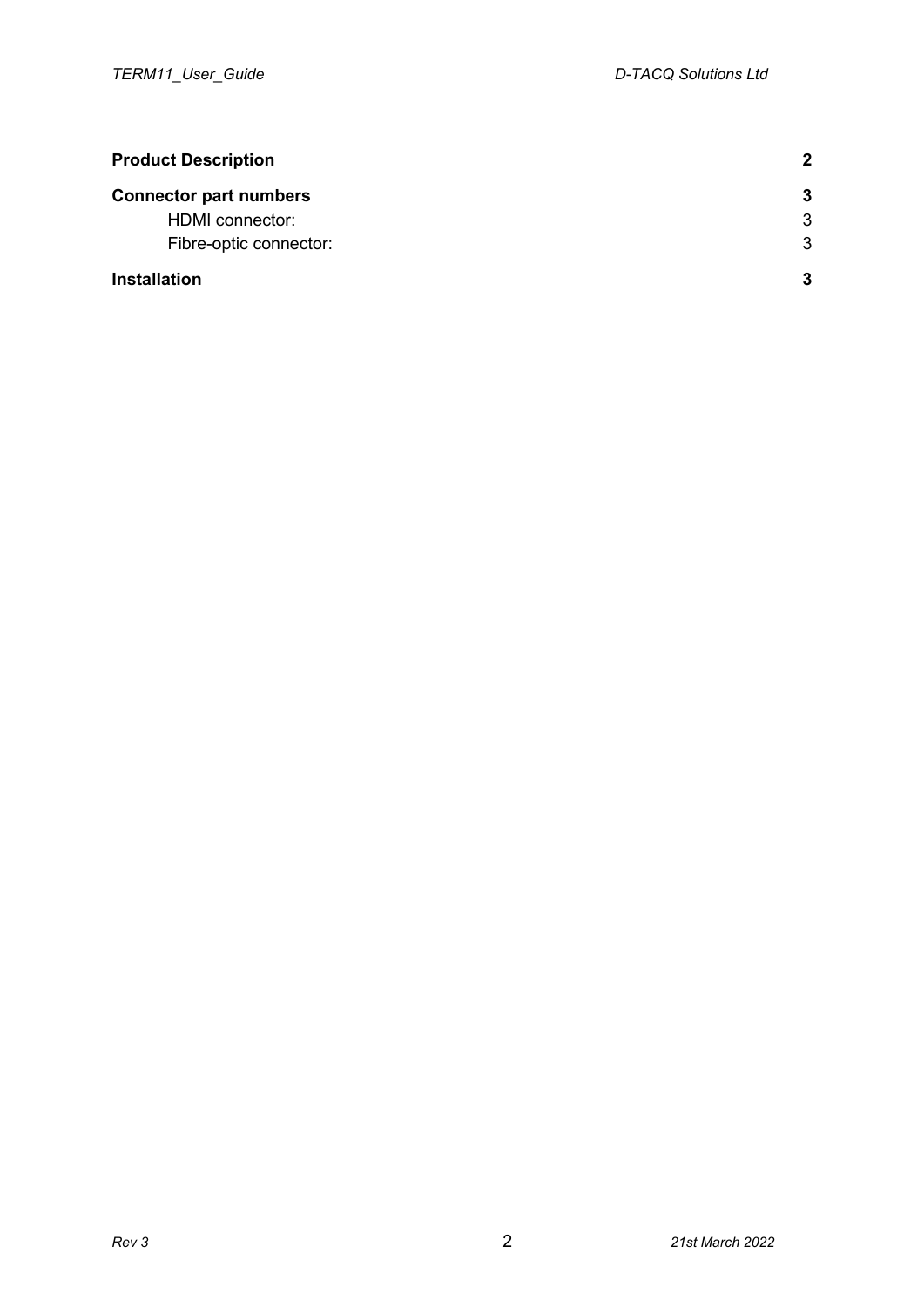<span id="page-1-0"></span>

| <b>Product Description</b>    | 2  |
|-------------------------------|----|
| <b>Connector part numbers</b> | -3 |
| <b>HDMI</b> connector:        | 3  |
| Fibre-optic connector:        | 3  |
| <b>Installation</b>           | 3  |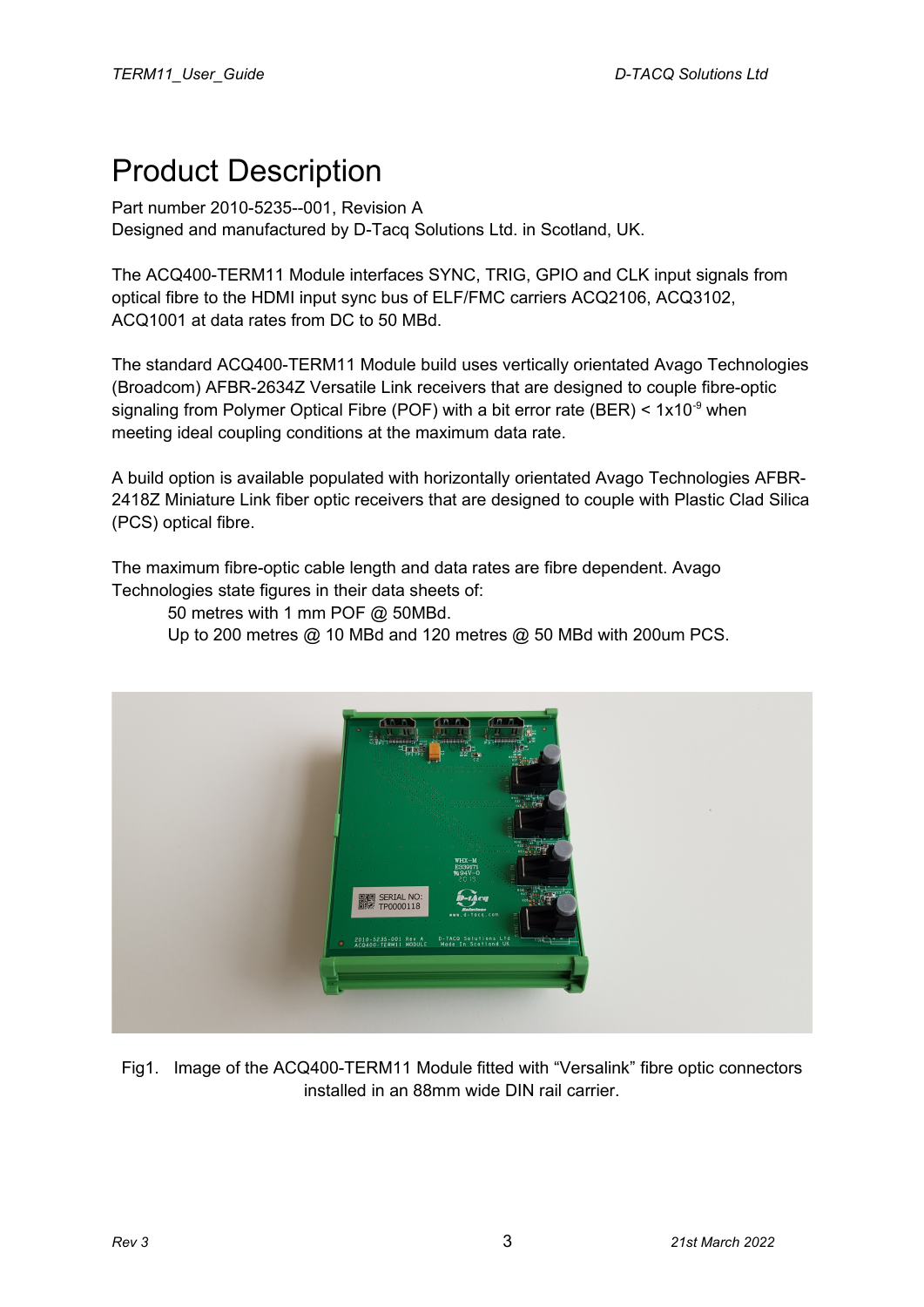## <span id="page-2-0"></span>Product Description

Part number 2010-5235--001, Revision A Designed and manufactured by D-Tacq Solutions Ltd. in Scotland, UK.

The ACQ400-TERM11 Module interfaces SYNC, TRIG, GPIO and CLK input signals from optical fibre to the HDMI input sync bus of ELF/FMC carriers ACQ2106, ACQ3102, ACQ1001 at data rates from DC to 50 MBd.

The standard ACQ400-TERM11 Module build uses vertically orientated Avago Technologies (Broadcom) AFBR-2634Z Versatile Link receivers that are designed to couple fibre-optic signaling from Polymer Optical Fibre (POF) with a bit error rate (BER)  $<$  1x10<sup>-9</sup> when meeting ideal coupling conditions at the maximum data rate.

A build option is available populated with horizontally orientated Avago Technologies AFBR-2418Z Miniature Link fiber optic receivers that are designed to couple with Plastic Clad Silica (PCS) optical fibre.

The maximum fibre-optic cable length and data rates are fibre dependent. Avago Technologies state figures in their data sheets of:

50 metres with 1 mm POF @ 50MBd.

Up to 200 metres @ 10 MBd and 120 metres @ 50 MBd with 200um PCS.



Fig1. Image of the ACQ400-TERM11 Module fitted with "Versalink" fibre optic connectors installed in an 88mm wide DIN rail carrier.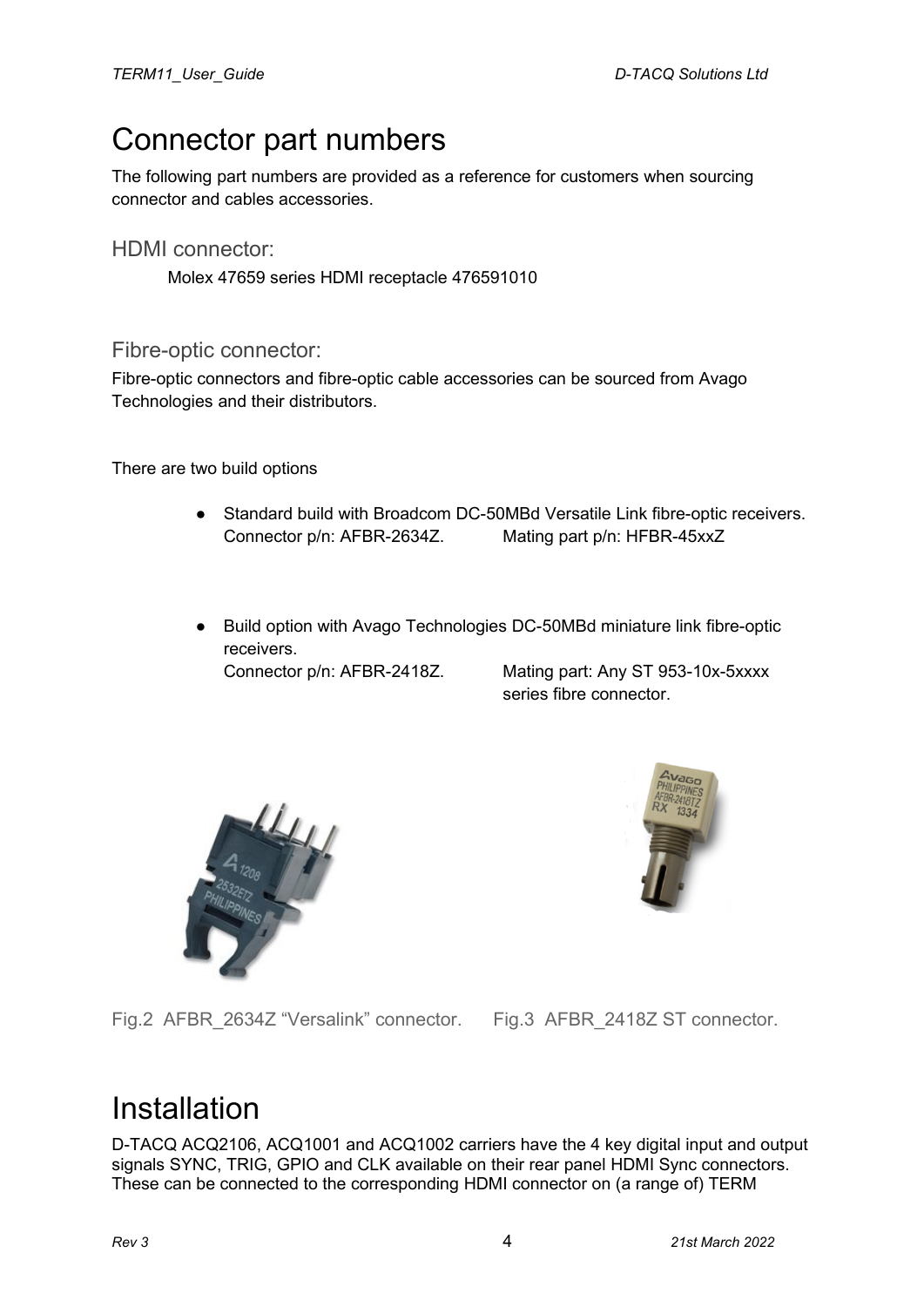## <span id="page-3-2"></span>Connector part numbers

The following part numbers are provided as a reference for customers when sourcing connector and cables accessories.

<span id="page-3-1"></span>HDMI connector:

Molex 47659 series HDMI receptacle 476591010

<span id="page-3-0"></span>Fibre-optic connector:

Fibre-optic connectors and fibre-optic cable accessories can be sourced from Avago Technologies and their distributors.

There are two build options

- Standard build with Broadcom DC-50MBd Versatile Link fibre-optic receivers. Connector p/n: AFBR-2634Z. Mating part p/n: HFBR-45xxZ
- Build option with Avago Technologies DC-50MBd miniature link fibre-optic receivers. Connector p/n: AFBR-2418Z. Mating part: Any ST 953-10x-5xxxx

series fibre connector.





Fig.2 AFBR\_2634Z "Versalink" connector. Fig.3 AFBR\_2418Z ST connector.

## Installation

D-TACQ ACQ2106, ACQ1001 and ACQ1002 carriers have the 4 key digital input and output signals SYNC, TRIG, GPIO and CLK available on their rear panel HDMI Sync connectors. These can be connected to the corresponding HDMI connector on (a range of) TERM